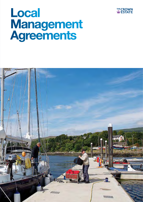

# Local **Management**<br>Agreements

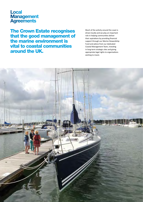# **Local Management**<br>**Agreements**

The Crown Estate recognises that the good management of the marine environment is vital to coastal communities around the UK.

Much of the activity around the coast is driven locally and we play an important role in helping communities deliver their aspirations by providing financial support through our Marine Stewardship Fund and advice from our dedicated Coastal Management Team, investing in long-term strategic sites and giving appropriate legal rights to organisations wishing to invest.

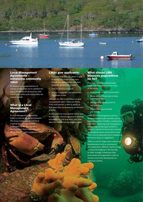

#### Local Management Agreements – enhancing community value

To enhance our responsiveness to coastal communities we've updated the way in which we can do business with local organisations and communities for mutual benefit.

#### What is a Local **Management** Agreement?

A Local Management Agreement (LMA) is a formal agreement between The Crown Estate and an individual or group of local organisations (referred to as the local partner), which enables them to manage part of The Crown Estate's coastal portfolio.

## LMAs give applicants:

- Certainty that they can obtain a right to occupy The Crown Estate land should they demonstrate that their proposal can become a reality
- Time to develop proposals
- Access to expertise and advice from The Crown Estate

Although an LMA in itself does not give 'occupational rights', these can follow if the local partner is able to satisfy us that what they are proposing can become a reality.

At that point the local partner will be able to enter into a formal agreement allowing occupation for the long-term. Only then does the rent/licence fee begin to apply.

#### What should LMA business propositions be for?

They will need to be commercially viable, but also achieve one or more of the below:

- Bring benefit to local communities;
- Allow community groups to enjoy improved facilities;
- Aid economic development of the locality; or
- Protect the natural habitat and wildlife.

LMAs should be designed to assist in developing small scale activities such as improved harbour facilities, creating local amenities, improving local management of moorings, giving opportunities to create or expand local business interests or managing nature conservation areas. This is not an exhaustive list of categories, and we are open to suggestions.

LMAs are not for large scale commercial developments (such as commercial port expansion), offshore marine energy, commercial dredging or fish farming or other strategic investment sites, and should not be granted in order to sterilise areas from development or legitimate activity.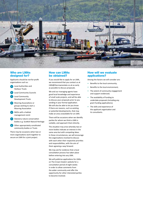

#### Who are LMAs designed for?

Applicants should be not-for-profit organisations such as:

- Local Authorities and Harbour Trusts
- **b** Local Community Councils
- c Local Community Development Trusts
- d Mooring Associations or groups wishing to start a Mooring Association
- e NGOs with a habitat management remit
- Statutory nature conservation bodies e.g. Scottish Natural Heritage
- g Other appropriately constituted community bodies or Trusts

There may be occasions when two or more organisations work together to secure an LMA for a joint project.

#### How can LMAs be obtained?

If you would like to apply for an LMA, we recommend that you contact us at LMA@thecrownestate.co.uk as early as possible to discuss proposals.

We and our managing agents have good local knowledge and experience of small scale projects, and will be able to discuss your proposals prior to you sending in your formal application. We will also be able to let you know if there are reasons, such as existing or potential developments, that may make an area unavailable for an LMA.

There will be occasions when we identify parties for whom we think a LMA is suitable, and approach them directly.

The situation may arise whereby two or more bodies indicate an interest in the same area but with competing ideas. In these circumstances, we will encourage the organisations involved to discuss with each other their respective priorities and responsibilities, with the aim of them agreeing a way forward.

We may ask for evidence that a local consultation process has taken place before entering into any LMA.

We will publicise applications for LMAs on The Crown Estate's website for a consultation period of eight weeks in order to allow comments from the wider community and offer the opportunity for other interested parties to become involved.

#### How will we evaluate applications?

Among the factors we will consider are:

- Benefits to the local community;
- Benefits to the local environment;
- The extent of community engagement and support evidenced;
- The availability of funding to undertake proposals (including any grant funding applications);
- The skills and experience of the applicant organisation and its consultants.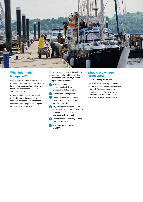

#### What information is required?

Once an organisation is in a position to formally apply for an LMA, an application form should be completed and returned to the Coastal Management Team at The Crown Estate.

A completed form should provide all the basic information needed to assess your proposal. Any supporting information you can provide will speed up the application process.

The type of project information will vary between proposals, and is detailed on the application form, but a typical list of requirements would be:

- a The development or management activities proposed, including location
- **b** Project aims and objectives
- Details of ownership, or rights to occupy and use any relevant adjacent property
- d Any funding requirements which impact The Crown Estate operational arrangements (including any sub-leases to be granted)
- Benefits to the community deriving from the proposals
- The proposed duration of any LMA

#### What is the charge for an LMA?

There is no charge for an LMA.

The Crown Estate, like any landowner, will charge for the use and/or occupancy of its land. The amount payable will depend on many factors and we are happy to discuss this with the local partner as the application proceeds.